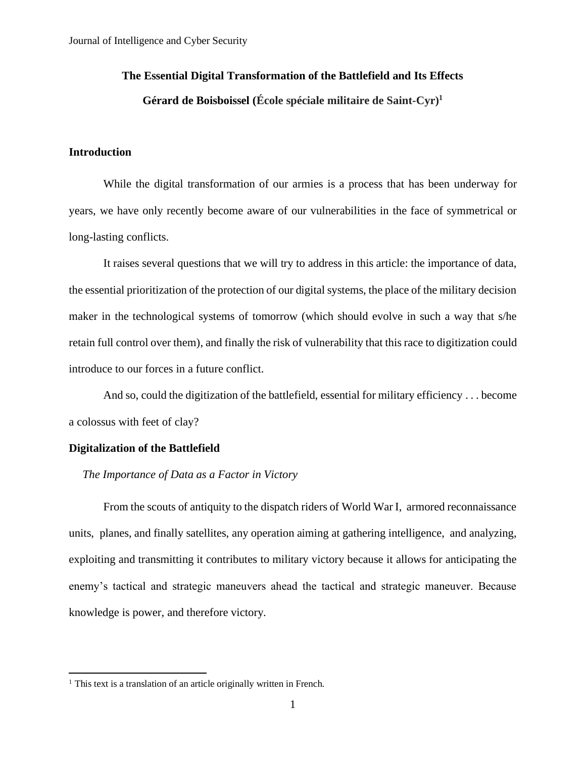# **The Essential Digital Transformation of the Battlefield and Its Effects**

# **Gérard de Boisboissel (École spéciale militaire de Saint-Cyr) 1**

# **Introduction**

While the digital transformation of our armies is a process that has been underway for years, we have only recently become aware of our vulnerabilities in the face of symmetrical or long-lasting conflicts.

It raises several questions that we will try to address in this article: the importance of data, the essential prioritization of the protection of our digital systems, the place of the military decision maker in the technological systems of tomorrow (which should evolve in such a way that s/he retain full control over them), and finally the risk of vulnerability that this race to digitization could introduce to our forces in a future conflict.

And so, could the digitization of the battlefield, essential for military efficiency . . . become a colossus with feet of clay?

# **Digitalization of the Battlefield**

# *The Importance of Data as a Factor in Victory*

From the scouts of antiquity to the dispatch riders of World War I, armored reconnaissance units, planes, and finally satellites, any operation aiming at gathering intelligence, and analyzing, exploiting and transmitting it contributes to military victory because it allows for anticipating the enemy's tactical and strategic maneuvers ahead the tactical and strategic maneuver. Because knowledge is power, and therefore victory.

<sup>&</sup>lt;sup>1</sup> This text is a translation of an article originally written in French.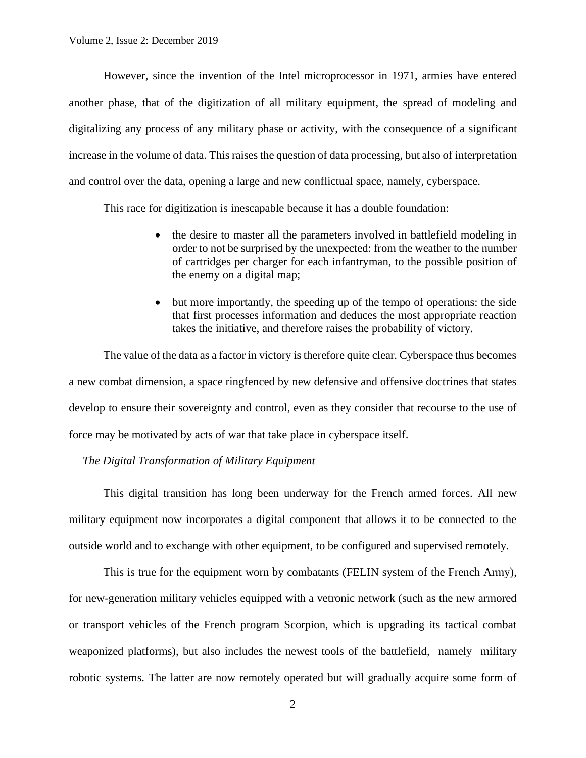However, since the invention of the Intel microprocessor in 1971, armies have entered another phase, that of the digitization of all military equipment, the spread of modeling and digitalizing any process of any military phase or activity, with the consequence of a significant increase in the volume of data. This raises the question of data processing, but also of interpretation and control over the data, opening a large and new conflictual space, namely, cyberspace.

This race for digitization is inescapable because it has a double foundation:

- the desire to master all the parameters involved in battlefield modeling in order to not be surprised by the unexpected: from the weather to the number of cartridges per charger for each infantryman, to the possible position of the enemy on a digital map;
- but more importantly, the speeding up of the tempo of operations: the side that first processes information and deduces the most appropriate reaction takes the initiative, and therefore raises the probability of victory.

The value of the data as a factor in victory is therefore quite clear. Cyberspace thus becomes a new combat dimension, a space ringfenced by new defensive and offensive doctrines that states develop to ensure their sovereignty and control, even as they consider that recourse to the use of force may be motivated by acts of war that take place in cyberspace itself.

*The Digital Transformation of Military Equipment*

This digital transition has long been underway for the French armed forces. All new military equipment now incorporates a digital component that allows it to be connected to the outside world and to exchange with other equipment, to be configured and supervised remotely.

This is true for the equipment worn by combatants (FELIN system of the French Army), for new-generation military vehicles equipped with a vetronic network (such as the new armored or transport vehicles of the French program Scorpion, which is upgrading its tactical combat weaponized platforms), but also includes the newest tools of the battlefield, namely military robotic systems. The latter are now remotely operated but will gradually acquire some form of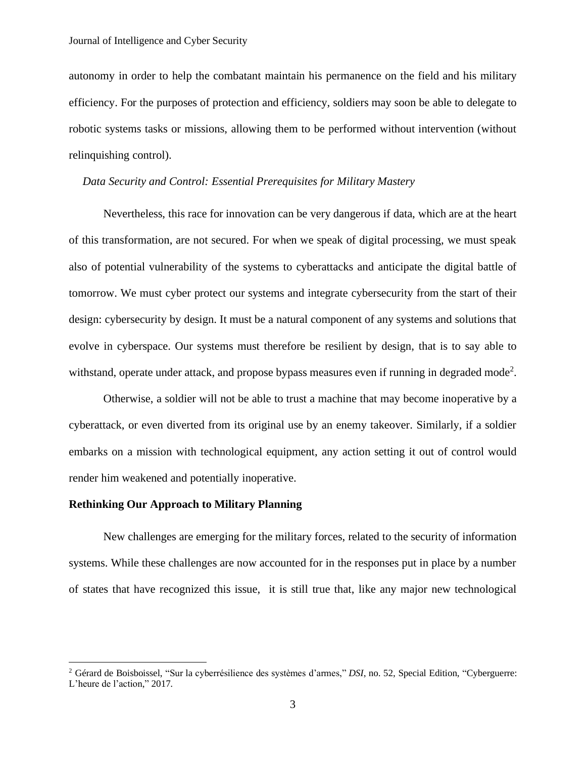autonomy in order to help the combatant maintain his permanence on the field and his military efficiency. For the purposes of protection and efficiency, soldiers may soon be able to delegate to robotic systems tasks or missions, allowing them to be performed without intervention (without relinquishing control).

### *Data Security and Control: Essential Prerequisites for Military Mastery*

Nevertheless, this race for innovation can be very dangerous if data, which are at the heart of this transformation, are not secured. For when we speak of digital processing, we must speak also of potential vulnerability of the systems to cyberattacks and anticipate the digital battle of tomorrow. We must cyber protect our systems and integrate cybersecurity from the start of their design: cybersecurity by design. It must be a natural component of any systems and solutions that evolve in cyberspace. Our systems must therefore be resilient by design, that is to say able to withstand, operate under attack, and propose bypass measures even if running in degraded mode<sup>2</sup>.

Otherwise, a soldier will not be able to trust a machine that may become inoperative by a cyberattack, or even diverted from its original use by an enemy takeover. Similarly, if a soldier embarks on a mission with technological equipment, any action setting it out of control would render him weakened and potentially inoperative.

#### **Rethinking Our Approach to Military Planning**

New challenges are emerging for the military forces, related to the security of information systems. While these challenges are now accounted for in the responses put in place by a number of states that have recognized this issue, it is still true that, like any major new technological

<sup>2</sup> Gérard de Boisboissel, "Sur la cyberrésilience des systèmes d'armes," *DSI*, no. 52, Special Edition, "Cyberguerre: L'heure de l'action," 2017.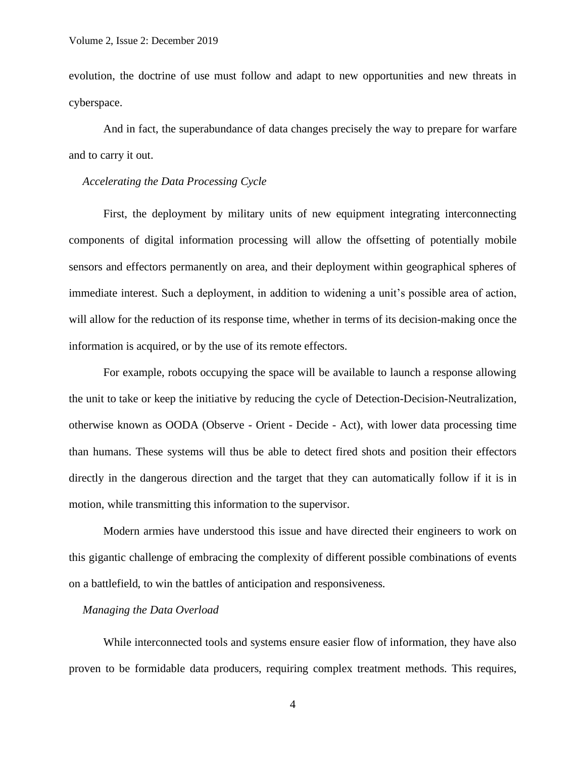evolution, the doctrine of use must follow and adapt to new opportunities and new threats in cyberspace.

And in fact, the superabundance of data changes precisely the way to prepare for warfare and to carry it out.

# *Accelerating the Data Processing Cycle*

First, the deployment by military units of new equipment integrating interconnecting components of digital information processing will allow the offsetting of potentially mobile sensors and effectors permanently on area, and their deployment within geographical spheres of immediate interest. Such a deployment, in addition to widening a unit's possible area of action, will allow for the reduction of its response time, whether in terms of its decision-making once the information is acquired, or by the use of its remote effectors.

For example, robots occupying the space will be available to launch a response allowing the unit to take or keep the initiative by reducing the cycle of Detection-Decision-Neutralization, otherwise known as OODA (Observe - Orient - Decide - Act), with lower data processing time than humans. These systems will thus be able to detect fired shots and position their effectors directly in the dangerous direction and the target that they can automatically follow if it is in motion, while transmitting this information to the supervisor.

Modern armies have understood this issue and have directed their engineers to work on this gigantic challenge of embracing the complexity of different possible combinations of events on a battlefield, to win the battles of anticipation and responsiveness.

# *Managing the Data Overload*

While interconnected tools and systems ensure easier flow of information, they have also proven to be formidable data producers, requiring complex treatment methods. This requires,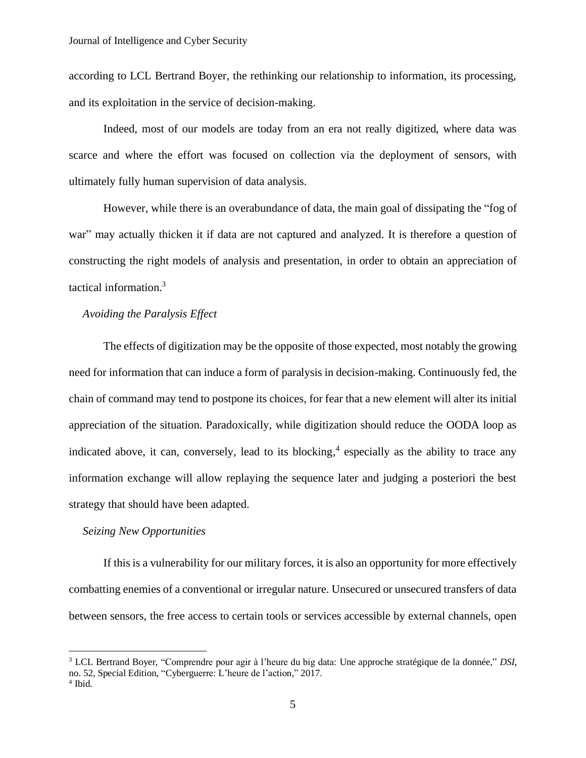according to LCL Bertrand Boyer, the rethinking our relationship to information, its processing, and its exploitation in the service of decision-making.

Indeed, most of our models are today from an era not really digitized, where data was scarce and where the effort was focused on collection via the deployment of sensors, with ultimately fully human supervision of data analysis.

However, while there is an overabundance of data, the main goal of dissipating the "fog of war" may actually thicken it if data are not captured and analyzed. It is therefore a question of constructing the right models of analysis and presentation, in order to obtain an appreciation of tactical information.<sup>3</sup>

# *Avoiding the Paralysis Effect*

The effects of digitization may be the opposite of those expected, most notably the growing need for information that can induce a form of paralysis in decision-making. Continuously fed, the chain of command may tend to postpone its choices, for fear that a new element will alter its initial appreciation of the situation. Paradoxically, while digitization should reduce the OODA loop as indicated above, it can, conversely, lead to its blocking, 4 especially as the ability to trace any information exchange will allow replaying the sequence later and judging a posteriori the best strategy that should have been adapted.

### *Seizing New Opportunities*

If this is a vulnerability for our military forces, it is also an opportunity for more effectively combatting enemies of a conventional or irregular nature. Unsecured or unsecured transfers of data between sensors, the free access to certain tools or services accessible by external channels, open

<sup>3</sup> LCL Bertrand Boyer, "Comprendre pour agir à l'heure du big data: Une approche stratégique de la donnée," *DSI*, no. 52, Special Edition, "Cyberguerre: L'heure de l'action," 2017.

<sup>4</sup> Ibid.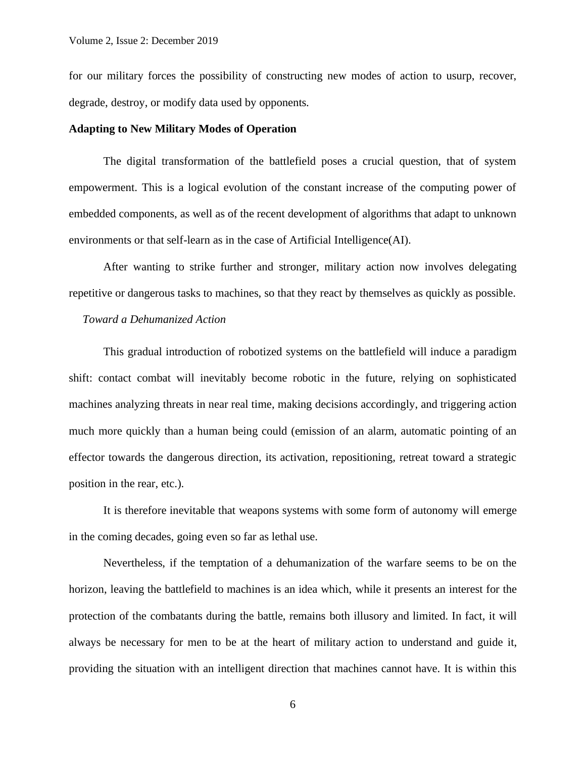for our military forces the possibility of constructing new modes of action to usurp, recover, degrade, destroy, or modify data used by opponents.

## **Adapting to New Military Modes of Operation**

The digital transformation of the battlefield poses a crucial question, that of system empowerment. This is a logical evolution of the constant increase of the computing power of embedded components, as well as of the recent development of algorithms that adapt to unknown environments or that self-learn as in the case of Artificial Intelligence(AI).

After wanting to strike further and stronger, military action now involves delegating repetitive or dangerous tasks to machines, so that they react by themselves as quickly as possible.

#### *Toward a Dehumanized Action*

This gradual introduction of robotized systems on the battlefield will induce a paradigm shift: contact combat will inevitably become robotic in the future, relying on sophisticated machines analyzing threats in near real time, making decisions accordingly, and triggering action much more quickly than a human being could (emission of an alarm, automatic pointing of an effector towards the dangerous direction, its activation, repositioning, retreat toward a strategic position in the rear, etc.).

It is therefore inevitable that weapons systems with some form of autonomy will emerge in the coming decades, going even so far as lethal use.

Nevertheless, if the temptation of a dehumanization of the warfare seems to be on the horizon, leaving the battlefield to machines is an idea which, while it presents an interest for the protection of the combatants during the battle, remains both illusory and limited. In fact, it will always be necessary for men to be at the heart of military action to understand and guide it, providing the situation with an intelligent direction that machines cannot have. It is within this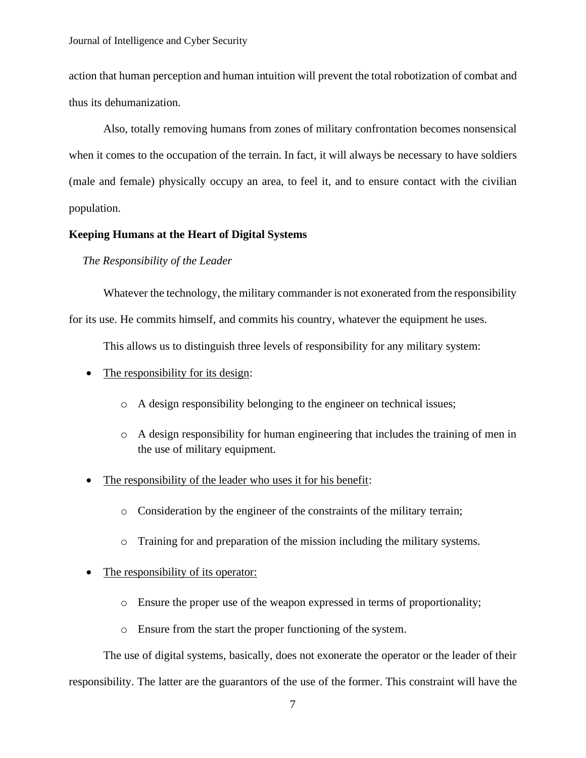Journal of Intelligence and Cyber Security

action that human perception and human intuition will prevent the total robotization of combat and thus its dehumanization.

Also, totally removing humans from zones of military confrontation becomes nonsensical when it comes to the occupation of the terrain. In fact, it will always be necessary to have soldiers (male and female) physically occupy an area, to feel it, and to ensure contact with the civilian population.

# **Keeping Humans at the Heart of Digital Systems**

*The Responsibility of the Leader*

Whatever the technology, the military commander is not exonerated from the responsibility for its use. He commits himself, and commits his country, whatever the equipment he uses.

This allows us to distinguish three levels of responsibility for any military system:

- The responsibility for its design:
	- o A design responsibility belonging to the engineer on technical issues;
	- $\circ$  A design responsibility for human engineering that includes the training of men in the use of military equipment.
- The responsibility of the leader who uses it for his benefit:
	- o Consideration by the engineer of the constraints of the military terrain;
	- o Training for and preparation of the mission including the military systems.

## • The responsibility of its operator:

- o Ensure the proper use of the weapon expressed in terms of proportionality;
- o Ensure from the start the proper functioning of the system.

The use of digital systems, basically, does not exonerate the operator or the leader of their responsibility. The latter are the guarantors of the use of the former. This constraint will have the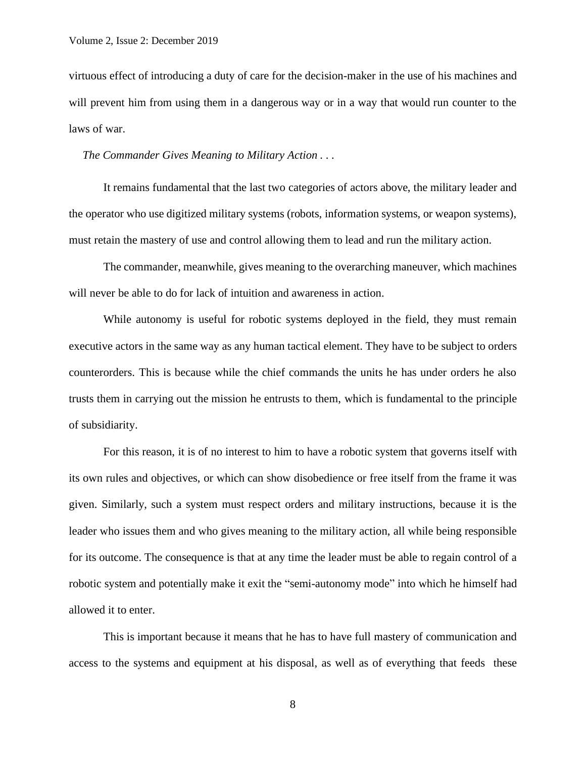virtuous effect of introducing a duty of care for the decision-maker in the use of his machines and will prevent him from using them in a dangerous way or in a way that would run counter to the laws of war.

*The Commander Gives Meaning to Military Action . . .*

It remains fundamental that the last two categories of actors above, the military leader and the operator who use digitized military systems (robots, information systems, or weapon systems), must retain the mastery of use and control allowing them to lead and run the military action.

The commander, meanwhile, gives meaning to the overarching maneuver, which machines will never be able to do for lack of intuition and awareness in action.

While autonomy is useful for robotic systems deployed in the field, they must remain executive actors in the same way as any human tactical element. They have to be subject to orders counterorders. This is because while the chief commands the units he has under orders he also trusts them in carrying out the mission he entrusts to them, which is fundamental to the principle of subsidiarity.

For this reason, it is of no interest to him to have a robotic system that governs itself with its own rules and objectives, or which can show disobedience or free itself from the frame it was given. Similarly, such a system must respect orders and military instructions, because it is the leader who issues them and who gives meaning to the military action, all while being responsible for its outcome. The consequence is that at any time the leader must be able to regain control of a robotic system and potentially make it exit the "semi-autonomy mode" into which he himself had allowed it to enter.

This is important because it means that he has to have full mastery of communication and access to the systems and equipment at his disposal, as well as of everything that feeds these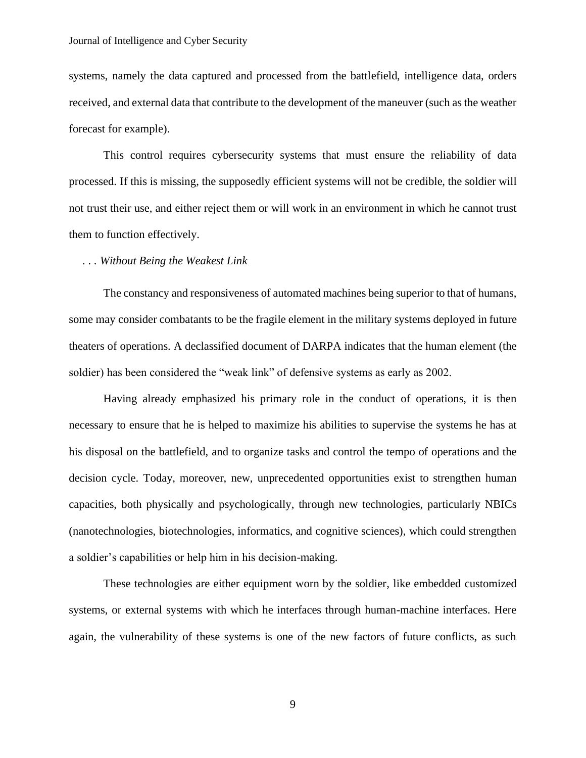systems, namely the data captured and processed from the battlefield, intelligence data, orders received, and external data that contribute to the development of the maneuver (such as the weather forecast for example).

This control requires cybersecurity systems that must ensure the reliability of data processed. If this is missing, the supposedly efficient systems will not be credible, the soldier will not trust their use, and either reject them or will work in an environment in which he cannot trust them to function effectively.

## *. . . Without Being the Weakest Link*

The constancy and responsiveness of automated machines being superior to that of humans, some may consider combatants to be the fragile element in the military systems deployed in future theaters of operations. A declassified document of DARPA indicates that the human element (the soldier) has been considered the "weak link" of defensive systems as early as 2002.

Having already emphasized his primary role in the conduct of operations, it is then necessary to ensure that he is helped to maximize his abilities to supervise the systems he has at his disposal on the battlefield, and to organize tasks and control the tempo of operations and the decision cycle. Today, moreover, new, unprecedented opportunities exist to strengthen human capacities, both physically and psychologically, through new technologies, particularly NBICs (nanotechnologies, biotechnologies, informatics, and cognitive sciences), which could strengthen a soldier's capabilities or help him in his decision-making.

These technologies are either equipment worn by the soldier, like embedded customized systems, or external systems with which he interfaces through human-machine interfaces. Here again, the vulnerability of these systems is one of the new factors of future conflicts, as such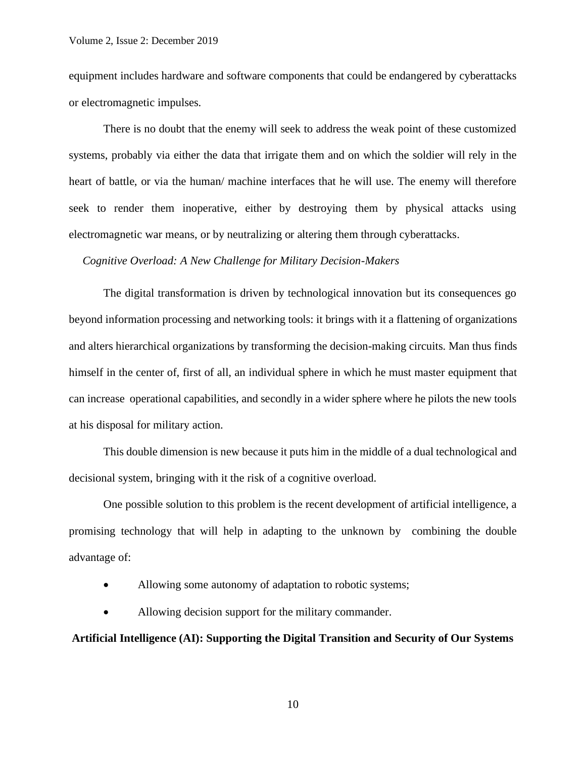equipment includes hardware and software components that could be endangered by cyberattacks or electromagnetic impulses.

There is no doubt that the enemy will seek to address the weak point of these customized systems, probably via either the data that irrigate them and on which the soldier will rely in the heart of battle, or via the human/ machine interfaces that he will use. The enemy will therefore seek to render them inoperative, either by destroying them by physical attacks using electromagnetic war means, or by neutralizing or altering them through cyberattacks.

#### *Cognitive Overload: A New Challenge for Military Decision-Makers*

The digital transformation is driven by technological innovation but its consequences go beyond information processing and networking tools: it brings with it a flattening of organizations and alters hierarchical organizations by transforming the decision-making circuits. Man thus finds himself in the center of, first of all, an individual sphere in which he must master equipment that can increase operational capabilities, and secondly in a wider sphere where he pilots the new tools at his disposal for military action.

This double dimension is new because it puts him in the middle of a dual technological and decisional system, bringing with it the risk of a cognitive overload.

One possible solution to this problem is the recent development of artificial intelligence, a promising technology that will help in adapting to the unknown by combining the double advantage of:

- Allowing some autonomy of adaptation to robotic systems;
- Allowing decision support for the military commander.

# **Artificial Intelligence (AI): Supporting the Digital Transition and Security of Our Systems**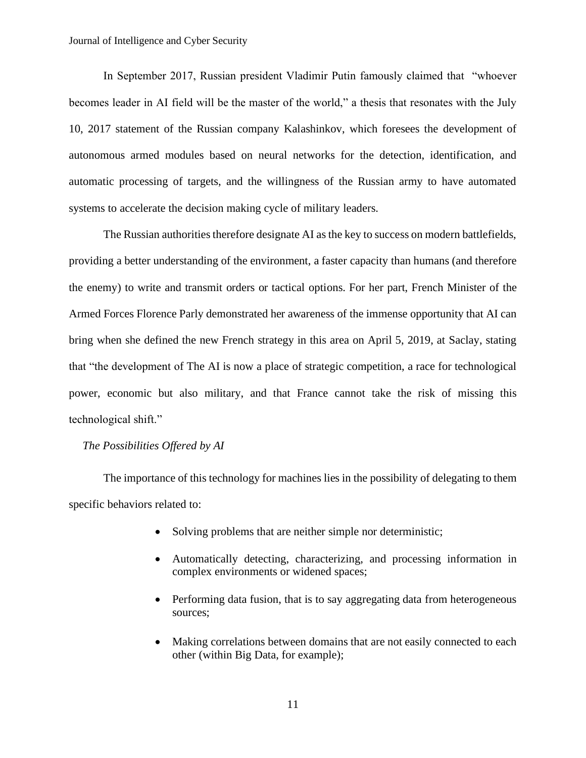In September 2017, Russian president Vladimir Putin famously claimed that "whoever becomes leader in AI field will be the master of the world," a thesis that resonates with the July 10, 2017 statement of the Russian company Kalashinkov, which foresees the development of autonomous armed modules based on neural networks for the detection, identification, and automatic processing of targets, and the willingness of the Russian army to have automated systems to accelerate the decision making cycle of military leaders.

The Russian authorities therefore designate AI as the key to success on modern battlefields, providing a better understanding of the environment, a faster capacity than humans (and therefore the enemy) to write and transmit orders or tactical options. For her part, French Minister of the Armed Forces Florence Parly demonstrated her awareness of the immense opportunity that AI can bring when she defined the new French strategy in this area on April 5, 2019, at Saclay, stating that "the development of The AI is now a place of strategic competition, a race for technological power, economic but also military, and that France cannot take the risk of missing this technological shift."

# *The Possibilities Offered by AI*

The importance of this technology for machines lies in the possibility of delegating to them specific behaviors related to:

- Solving problems that are neither simple nor deterministic;
- Automatically detecting, characterizing, and processing information in complex environments or widened spaces;
- Performing data fusion, that is to say aggregating data from heterogeneous sources;
- Making correlations between domains that are not easily connected to each other (within Big Data, for example);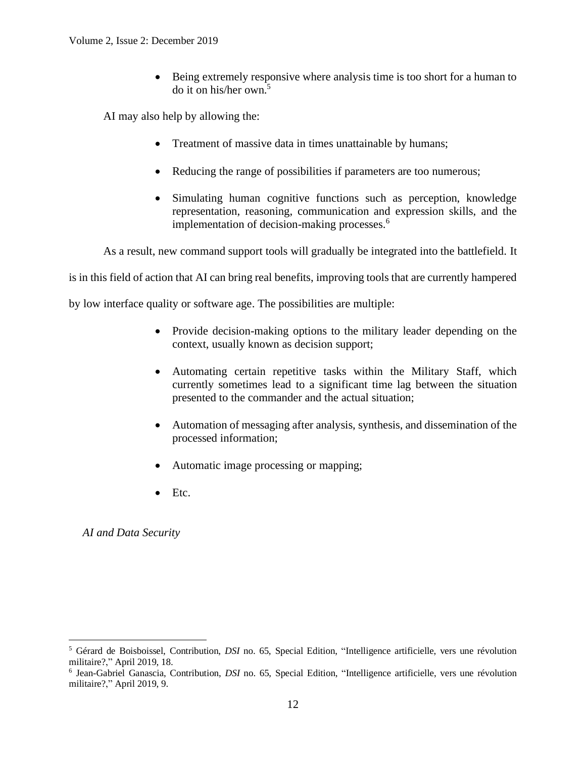• Being extremely responsive where analysis time is too short for a human to do it on his/her own. 5

AI may also help by allowing the:

- Treatment of massive data in times unattainable by humans;
- Reducing the range of possibilities if parameters are too numerous;
- Simulating human cognitive functions such as perception, knowledge representation, reasoning, communication and expression skills, and the implementation of decision-making processes.<sup>6</sup>

As a result, new command support tools will gradually be integrated into the battlefield. It

is in this field of action that AI can bring real benefits, improving tools that are currently hampered

by low interface quality or software age. The possibilities are multiple:

- Provide decision-making options to the military leader depending on the context, usually known as decision support;
- Automating certain repetitive tasks within the Military Staff, which currently sometimes lead to a significant time lag between the situation presented to the commander and the actual situation;
- Automation of messaging after analysis, synthesis, and dissemination of the processed information;
- Automatic image processing or mapping;
- $\bullet$  Etc.

*AI and Data Security*

<sup>5</sup> Gérard de Boisboissel, Contribution, *DSI* no. 65, Special Edition, "Intelligence artificielle, vers une révolution militaire?," April 2019, 18.

<sup>6</sup> Jean-Gabriel Ganascia, Contribution, *DSI* no. 65, Special Edition, "Intelligence artificielle, vers une révolution militaire?," April 2019, 9.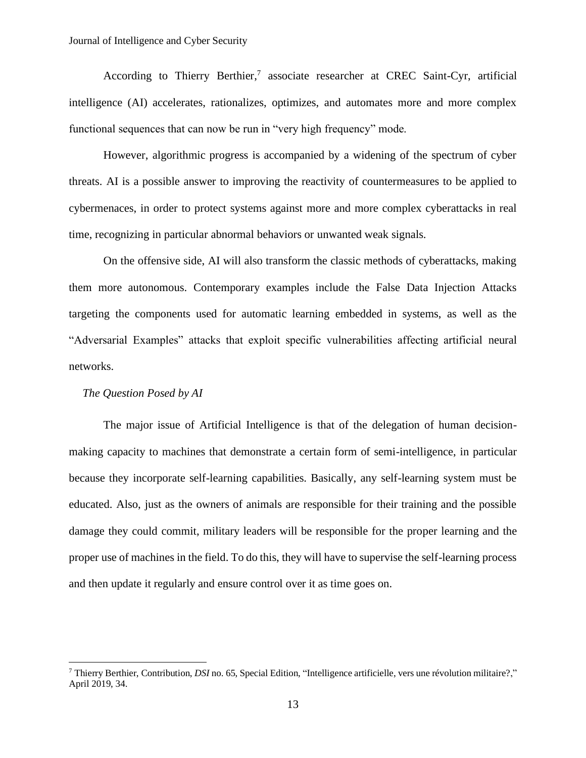According to Thierry Berthier, 7 associate researcher at CREC Saint-Cyr, artificial intelligence (AI) accelerates, rationalizes, optimizes, and automates more and more complex functional sequences that can now be run in "very high frequency" mode.

However, algorithmic progress is accompanied by a widening of the spectrum of cyber threats. AI is a possible answer to improving the reactivity of countermeasures to be applied to cybermenaces, in order to protect systems against more and more complex cyberattacks in real time, recognizing in particular abnormal behaviors or unwanted weak signals.

On the offensive side, AI will also transform the classic methods of cyberattacks, making them more autonomous. Contemporary examples include the False Data Injection Attacks targeting the components used for automatic learning embedded in systems, as well as the "Adversarial Examples" attacks that exploit specific vulnerabilities affecting artificial neural networks.

## *The Question Posed by AI*

The major issue of Artificial Intelligence is that of the delegation of human decisionmaking capacity to machines that demonstrate a certain form of semi-intelligence, in particular because they incorporate self-learning capabilities. Basically, any self-learning system must be educated. Also, just as the owners of animals are responsible for their training and the possible damage they could commit, military leaders will be responsible for the proper learning and the proper use of machines in the field. To do this, they will have to supervise the self-learning process and then update it regularly and ensure control over it as time goes on.

<sup>7</sup> Thierry Berthier, Contribution, *DSI* no. 65, Special Edition, "Intelligence artificielle, vers une révolution militaire?," April 2019, 34.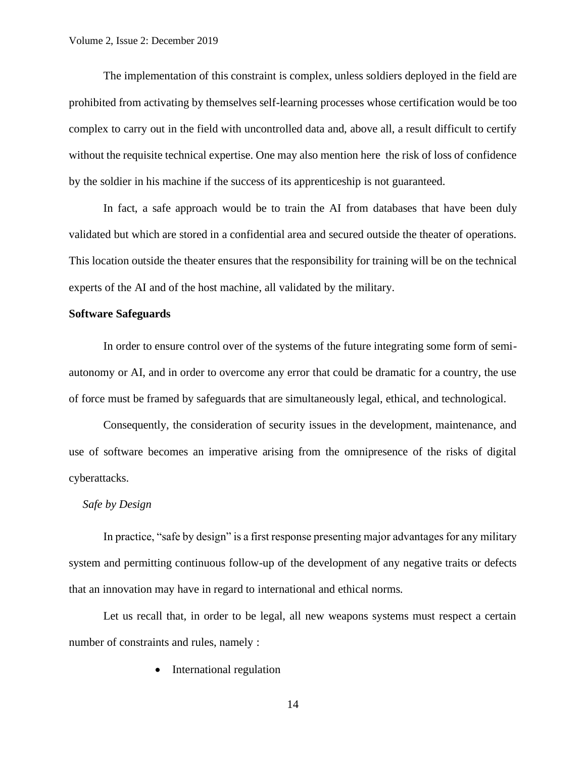The implementation of this constraint is complex, unless soldiers deployed in the field are prohibited from activating by themselves self-learning processes whose certification would be too complex to carry out in the field with uncontrolled data and, above all, a result difficult to certify without the requisite technical expertise. One may also mention here the risk of loss of confidence by the soldier in his machine if the success of its apprenticeship is not guaranteed.

In fact, a safe approach would be to train the AI from databases that have been duly validated but which are stored in a confidential area and secured outside the theater of operations. This location outside the theater ensures that the responsibility for training will be on the technical experts of the AI and of the host machine, all validated by the military.

#### **Software Safeguards**

In order to ensure control over of the systems of the future integrating some form of semiautonomy or AI, and in order to overcome any error that could be dramatic for a country, the use of force must be framed by safeguards that are simultaneously legal, ethical, and technological.

Consequently, the consideration of security issues in the development, maintenance, and use of software becomes an imperative arising from the omnipresence of the risks of digital cyberattacks.

# *Safe by Design*

In practice, "safe by design" is a first response presenting major advantages for any military system and permitting continuous follow-up of the development of any negative traits or defects that an innovation may have in regard to international and ethical norms.

Let us recall that, in order to be legal, all new weapons systems must respect a certain number of constraints and rules, namely :

• International regulation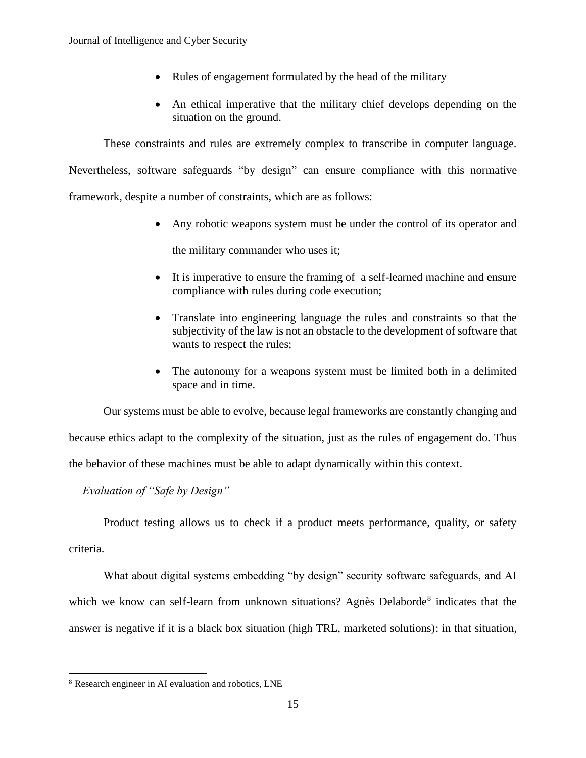- Rules of engagement formulated by the head of the military
- An ethical imperative that the military chief develops depending on the situation on the ground.

These constraints and rules are extremely complex to transcribe in computer language. Nevertheless, software safeguards "by design" can ensure compliance with this normative framework, despite a number of constraints, which are as follows:

• Any robotic weapons system must be under the control of its operator and

the military commander who uses it;

- It is imperative to ensure the framing of a self-learned machine and ensure compliance with rules during code execution;
- Translate into engineering language the rules and constraints so that the subjectivity of the law is not an obstacle to the development of software that wants to respect the rules;
- The autonomy for a weapons system must be limited both in a delimited space and in time.

Our systems must be able to evolve, because legal frameworks are constantly changing and because ethics adapt to the complexity of the situation, just as the rules of engagement do. Thus the behavior of these machines must be able to adapt dynamically within this context.

*Evaluation of "Safe by Design"*

Product testing allows us to check if a product meets performance, quality, or safety criteria.

What about digital systems embedding "by design" security software safeguards, and AI which we know can self-learn from unknown situations? Agnès Delaborde<sup>8</sup> indicates that the answer is negative if it is a black box situation (high TRL, marketed solutions): in that situation,

<sup>8</sup> Research engineer in AI evaluation and robotics, LNE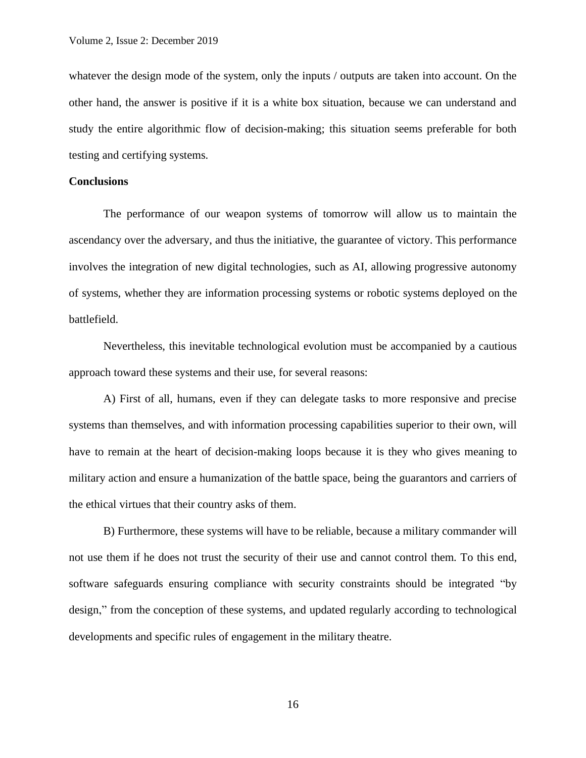whatever the design mode of the system, only the inputs / outputs are taken into account. On the other hand, the answer is positive if it is a white box situation, because we can understand and study the entire algorithmic flow of decision-making; this situation seems preferable for both testing and certifying systems.

#### **Conclusions**

The performance of our weapon systems of tomorrow will allow us to maintain the ascendancy over the adversary, and thus the initiative, the guarantee of victory. This performance involves the integration of new digital technologies, such as AI, allowing progressive autonomy of systems, whether they are information processing systems or robotic systems deployed on the battlefield.

Nevertheless, this inevitable technological evolution must be accompanied by a cautious approach toward these systems and their use, for several reasons:

A) First of all, humans, even if they can delegate tasks to more responsive and precise systems than themselves, and with information processing capabilities superior to their own, will have to remain at the heart of decision-making loops because it is they who gives meaning to military action and ensure a humanization of the battle space, being the guarantors and carriers of the ethical virtues that their country asks of them.

B) Furthermore, these systems will have to be reliable, because a military commander will not use them if he does not trust the security of their use and cannot control them. To this end, software safeguards ensuring compliance with security constraints should be integrated "by design," from the conception of these systems, and updated regularly according to technological developments and specific rules of engagement in the military theatre.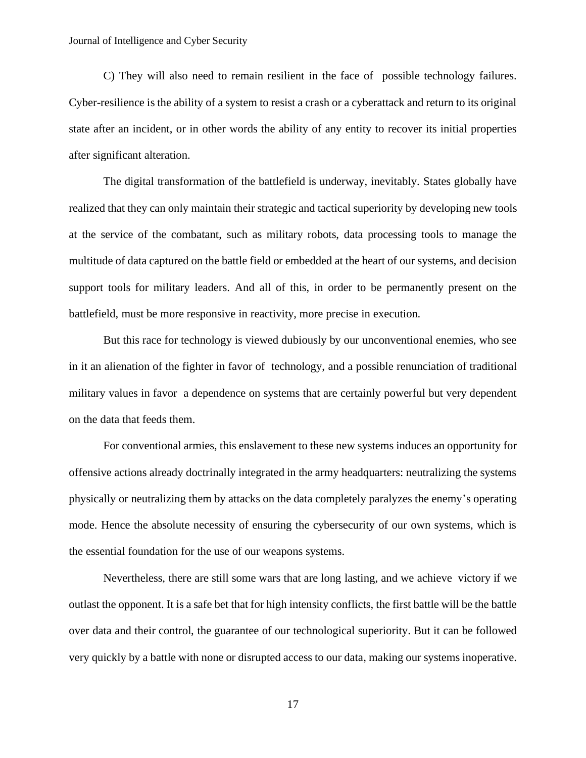C) They will also need to remain resilient in the face of possible technology failures. Cyber-resilience is the ability of a system to resist a crash or a cyberattack and return to its original state after an incident, or in other words the ability of any entity to recover its initial properties after significant alteration.

The digital transformation of the battlefield is underway, inevitably. States globally have realized that they can only maintain their strategic and tactical superiority by developing new tools at the service of the combatant, such as military robots, data processing tools to manage the multitude of data captured on the battle field or embedded at the heart of our systems, and decision support tools for military leaders. And all of this, in order to be permanently present on the battlefield, must be more responsive in reactivity, more precise in execution.

But this race for technology is viewed dubiously by our unconventional enemies, who see in it an alienation of the fighter in favor of technology, and a possible renunciation of traditional military values in favor a dependence on systems that are certainly powerful but very dependent on the data that feeds them.

For conventional armies, this enslavement to these new systems induces an opportunity for offensive actions already doctrinally integrated in the army headquarters: neutralizing the systems physically or neutralizing them by attacks on the data completely paralyzes the enemy's operating mode. Hence the absolute necessity of ensuring the cybersecurity of our own systems, which is the essential foundation for the use of our weapons systems.

Nevertheless, there are still some wars that are long lasting, and we achieve victory if we outlast the opponent. It is a safe bet that for high intensity conflicts, the first battle will be the battle over data and their control, the guarantee of our technological superiority. But it can be followed very quickly by a battle with none or disrupted access to our data, making our systems inoperative.